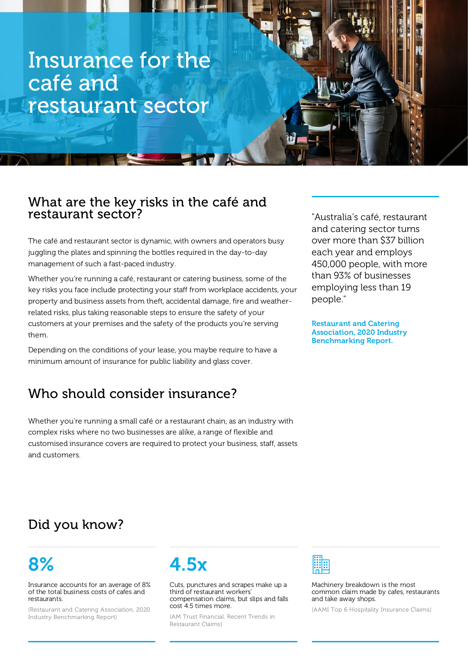# Insurance for the café and restaurant sector

### What are the key risks in the café and restaurant sector?

The café and restaurant sector is dynamic, with owners and operators busy juggling the plates and spinning the bottles required in the day-to-day management of such a fast-paced industry.

Whether you're running a café, restaurant or catering business, some of the key risks you face include protecting your staff from workplace accidents, your property and business assets from theft, accidental damage, fire and weatherrelated risks, plus taking reasonable steps to ensure the safety of your customers at your premises and the safety of the products you're serving them.

Depending on the conditions of your lease, you maybe require to have a minimum amount of insurance for public liability and glass cover.

## Who should consider insurance?

Whether you're running a small café or a restaurant chain, as an industry with complex risks where no two businesses are alike, a range of flexible and customised insurance covers are required to protect your business, staff, assets and customers.

"Australia's café, restaurant and catering sector turns over more than \$37 billion each year and employs 450,000 people, with more than 93% of businesses employing less than 19 people."

Restaurant and Catering Association, 2020 Industry Benchmarking Report.

## Did you know?

# 8%

Insurance accounts for an average of 8% of the total business costs of cafes and restaurants.

(Restaurant and Catering Association, 2020 Industry Benchmarking Report)



Cuts, punctures and scrapes make up a third of restaurant workers' compensation claims, but slips and falls cost 4.5 times more.

(AM Trust Financial, Recent Trends in Restaurant Claims)



Machinery breakdown is the most common claim made by cafes, restaurants and take away shops.

(AAMI Top 6 Hospitality Insurance Claims)